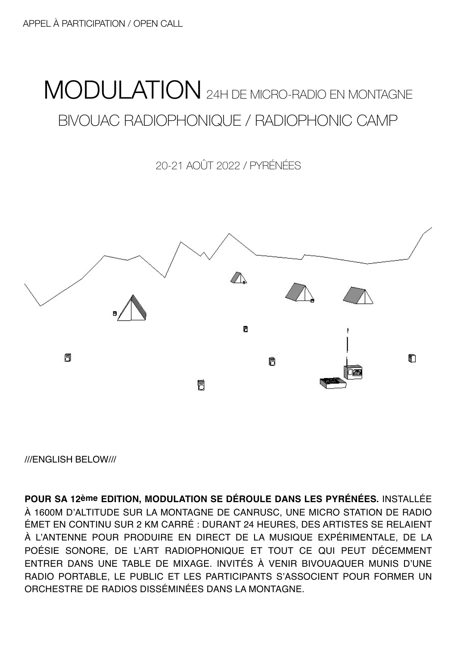## MODULATION 24H DE MICRO-RADIO EN MONTAGNE BIVOUAC RADIOPHONIQUE / RADIOPHONIC CAMP

20-21 AOÛT 2022 / PYRÉNÉES



///ENGLISH BELOW///

**POUR SA 12ème EDITION, MODULATION SE DÉROULE DANS LES PYRÉNÉES.** INSTALLÉE À 1600M D'ALTITUDE SUR LA MONTAGNE DE CANRUSC, UNE MICRO STATION DE RADIO ÉMET EN CONTINU SUR 2 KM CARRÉ : DURANT 24 HEURES, DES ARTISTES SE RELAIENT À L'ANTENNE POUR PRODUIRE EN DIRECT DE LA MUSIQUE EXPÉRIMENTALE, DE LA POÉSIE SONORE, DE L'ART RADIOPHONIQUE ET TOUT CE QUI PEUT DÉCEMMENT ENTRER DANS UNE TABLE DE MIXAGE. INVITÉS À VENIR BIVOUAQUER MUNIS D'UNE RADIO PORTABLE, LE PUBLIC ET LES PARTICIPANTS S'ASSOCIENT POUR FORMER UN ORCHESTRE DE RADIOS DISSÉMINÉES DANS LA MONTAGNE.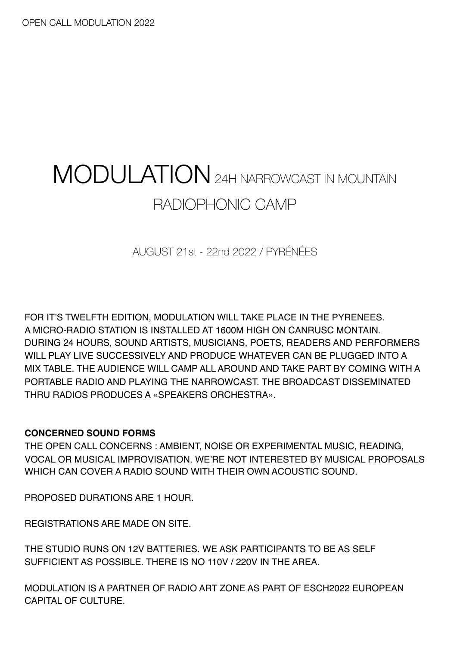# MODULATION24H NARROWCAST IN MOUNTAIN RADIOPHONIC CAMP

AUGUST 21st - 22nd 2022 / PYRÉNÉES

FOR IT'S TWELFTH EDITION, MODULATION WILL TAKE PLACE IN THE PYRENEES. A MICRO-RADIO STATION IS INSTALLED AT 1600M HIGH ON CANRUSC MONTAIN. DURING 24 HOURS, SOUND ARTISTS, MUSICIANS, POETS, READERS AND PERFORMERS WILL PLAY LIVE SUCCESSIVELY AND PRODUCE WHATEVER CAN BE PLUGGED INTO A MIX TABLE. THE AUDIENCE WILL CAMP ALL AROUND AND TAKE PART BY COMING WITH A PORTABLE RADIO AND PLAYING THE NARROWCAST. THE BROADCAST DISSEMINATED THRU RADIOS PRODUCES A «SPEAKERS ORCHESTRA».

### **CONCERNED SOUND FORMS**

THE OPEN CALL CONCERNS : AMBIENT, NOISE OR EXPERIMENTAL MUSIC, READING, VOCAL OR MUSICAL IMPROVISATION. WE'RE NOT INTERESTED BY MUSICAL PROPOSALS WHICH CAN COVER A RADIO SOUND WITH THEIR OWN ACOUSTIC SOUND.

PROPOSED DURATIONS ARE 1 HOUR.

REGISTRATIONS ARE MADE ON SITE.

THE STUDIO RUNS ON 12V BATTERIES. WE ASK PARTICIPANTS TO BE AS SELF SUFFICIENT AS POSSIBLE. THERE IS NO 110V / 220V IN THE AREA.

MODULATION IS A PARTNER OF [RADIO ART ZONE](https://radioart.zone/) AS PART OF ESCH2022 EUROPEAN CAPITAL OF CULTURE.